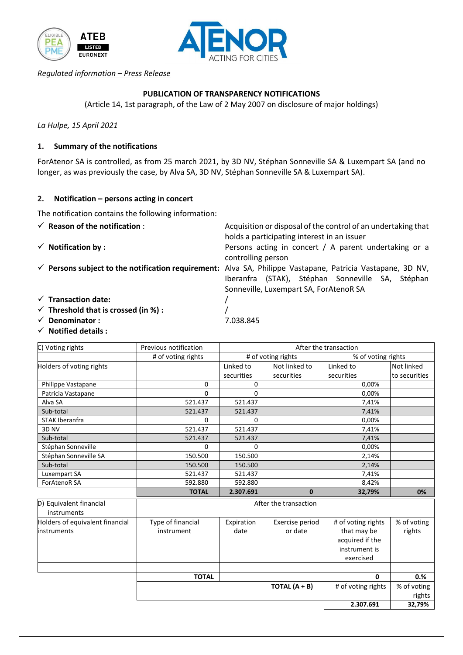



*Regulated information – Press Release*

## **PUBLICATION OF TRANSPARENCY NOTIFICATIONS**

(Article 14, 1st paragraph, of the Law of 2 May 2007 on disclosure of major holdings)

*La Hulpe, 15 April 2021*

### **1. Summary of the notifications**

ForAtenor SA is controlled, as from 25 march 2021, by 3D NV, Stéphan Sonneville SA & Luxempart SA (and no longer, as was previously the case, by Alva SA, 3D NV, Stéphan Sonneville SA & Luxempart SA).

#### **2. Notification – persons acting in concert**

The notification contains the following information:

- 
- 
- ✓ **Persons subject to the notification requirement:** Alva SA, Philippe Vastapane, Patricia Vastapane, 3D NV,
- ✓ **Reason of the notification** : Acquisition or disposal of the control of an undertaking that holds a participating interest in an issuer
- ✓ **Notification by :** Persons acting in concert / A parent undertaking or a controlling person

Iberanfra (STAK), Stéphan Sonneville SA, Stéphan Sonneville, Luxempart SA, ForAtenoR SA

- ✓ **Transaction date:** /
- ✓ **Threshold that is crossed (in %) :** /
- ✓ **Denominator :** 7.038.845
- ✓ **Notified details :**

| C) Voting rights                                      | Previous notification           | After the transaction |                            |                                                                                    |                       |  |
|-------------------------------------------------------|---------------------------------|-----------------------|----------------------------|------------------------------------------------------------------------------------|-----------------------|--|
|                                                       | # of voting rights              | # of voting rights    |                            | % of voting rights                                                                 |                       |  |
| Holders of voting rights                              |                                 | Linked to             | Not linked to              | Linked to                                                                          | Not linked            |  |
|                                                       |                                 | securities            | securities                 | securities                                                                         | to securities         |  |
| Philippe Vastapane                                    | 0                               | 0                     |                            | 0,00%                                                                              |                       |  |
| Patricia Vastapane                                    | 0                               | 0                     |                            | 0.00%                                                                              |                       |  |
| Alva SA                                               | 521.437                         | 521.437               |                            | 7,41%                                                                              |                       |  |
| Sub-total                                             | 521.437                         | 521.437               |                            | 7,41%                                                                              |                       |  |
| <b>STAK Iberanfra</b>                                 | 0                               | 0                     |                            | 0,00%                                                                              |                       |  |
| 3D <sub>NV</sub>                                      | 521.437                         | 521.437               |                            | 7,41%                                                                              |                       |  |
| Sub-total                                             | 521.437                         | 521.437               |                            | 7,41%                                                                              |                       |  |
| Stéphan Sonneville                                    | 0                               | 0                     |                            | 0,00%                                                                              |                       |  |
| Stéphan Sonneville SA                                 | 150.500                         | 150.500               |                            | 2,14%                                                                              |                       |  |
| Sub-total                                             | 150.500                         | 150.500               |                            | 2,14%                                                                              |                       |  |
| Luxempart SA                                          | 521.437                         | 521.437               |                            | 7,41%                                                                              |                       |  |
| ForAtenoR SA                                          | 592.880                         | 592.880               |                            | 8,42%                                                                              |                       |  |
|                                                       | <b>TOTAL</b>                    | 2.307.691             | $\mathbf{0}$               | 32,79%                                                                             | 0%                    |  |
| D) Equivalent financial<br>instruments                | After the transaction           |                       |                            |                                                                                    |                       |  |
| Holders of equivalent financial<br><b>instruments</b> | Type of financial<br>instrument | Expiration<br>date    | Exercise period<br>or date | # of voting rights<br>that may be<br>acquired if the<br>instrument is<br>exercised | % of voting<br>rights |  |
|                                                       |                                 |                       |                            |                                                                                    |                       |  |
|                                                       | <b>TOTAL</b>                    |                       | TOTAL $(A + B)$            | 0                                                                                  | 0.%                   |  |
|                                                       |                                 | # of voting rights    | % of voting                |                                                                                    |                       |  |
|                                                       |                                 |                       |                            |                                                                                    | rights                |  |
|                                                       |                                 |                       |                            | 2.307.691                                                                          | 32,79%                |  |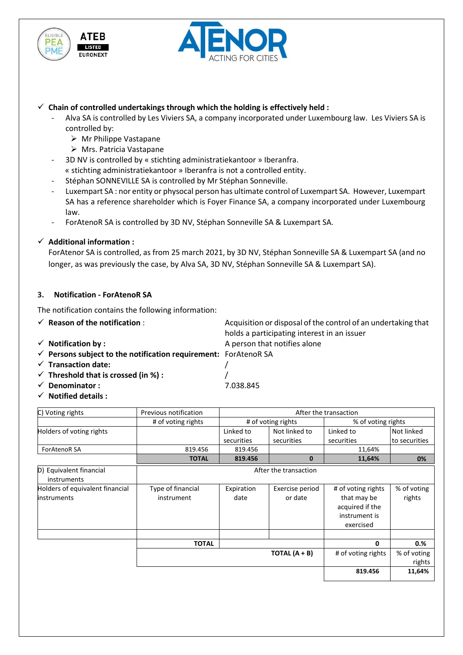



## $\checkmark$  Chain of controlled undertakings through which the holding is effectively held :

- Alva SA is controlled by Les Viviers SA, a company incorporated under Luxembourg law. Les Viviers SA is controlled by:
	- ➢ Mr Philippe Vastapane
	- ➢ Mrs. Patricia Vastapane
- 3D NV is controlled by « stichting administratiekantoor » Iberanfra.
- « stichting administratiekantoor » Iberanfra is not a controlled entity.
- Stéphan SONNEVILLE SA is controlled by Mr Stéphan Sonneville.
- Luxempart SA : nor entity or physocal person has ultimate control of Luxempart SA. However, Luxempart SA has a reference shareholder which is Foyer Finance SA, a company incorporated under Luxembourg law.
- ForAtenoR SA is controlled by 3D NV, Stéphan Sonneville SA & Luxempart SA.

# ✓ **Additional information :**

ForAtenor SA is controlled, as from 25 march 2021, by 3D NV, Stéphan Sonneville SA & Luxempart SA (and no longer, as was previously the case, by Alva SA, 3D NV, Stéphan Sonneville SA & Luxempart SA).

holds a participating interest in an issuer

# **3. Notification - ForAtenoR SA**

The notification contains the following information:

- ✓ **Reason of the notification** : Acquisition or disposal of the control of an undertaking that
- **✓ Notification by :** A person that notifies alone
- ✓ **Persons subject to the notification requirement:** ForAtenoR SA
- ✓ **Transaction date:** /
- ✓ **Threshold that is crossed (in %) :** /
- ✓ **Denominator :** 7.038.845
- ✓ **Notified details :**

| C) Voting rights         | Previous notification | After the transaction   |                             |                         |                             |  |
|--------------------------|-----------------------|-------------------------|-----------------------------|-------------------------|-----------------------------|--|
|                          | # of voting rights    | # of voting rights      |                             | % of voting rights      |                             |  |
| Holders of voting rights |                       | Linked to<br>securities | Not linked to<br>securities | Linked to<br>securities | Not linked<br>to securities |  |
| <b>ForAtenoR SA</b>      | 819.456               | 819.456                 |                             | 11.64%                  |                             |  |
|                          | <b>TOTAL</b>          | 819.456                 |                             | 11,64%                  | 0%                          |  |

| D) Equivalent financial<br>instruments                | After the transaction           |                    |                            |                                                                                    |                       |  |
|-------------------------------------------------------|---------------------------------|--------------------|----------------------------|------------------------------------------------------------------------------------|-----------------------|--|
| Holders of equivalent financial<br><b>instruments</b> | Type of financial<br>instrument | Expiration<br>date | Exercise period<br>or date | # of voting rights<br>that may be<br>acquired if the<br>instrument is<br>exercised | % of voting<br>rights |  |
|                                                       |                                 |                    |                            |                                                                                    |                       |  |
|                                                       | <b>TOTAL</b>                    |                    |                            | $\mathbf{0}$                                                                       | 0.%                   |  |
|                                                       |                                 |                    | TOTAL $(A + B)$            | # of voting rights                                                                 | % of voting<br>rights |  |
|                                                       |                                 |                    |                            | 819.456                                                                            | 11,64%                |  |